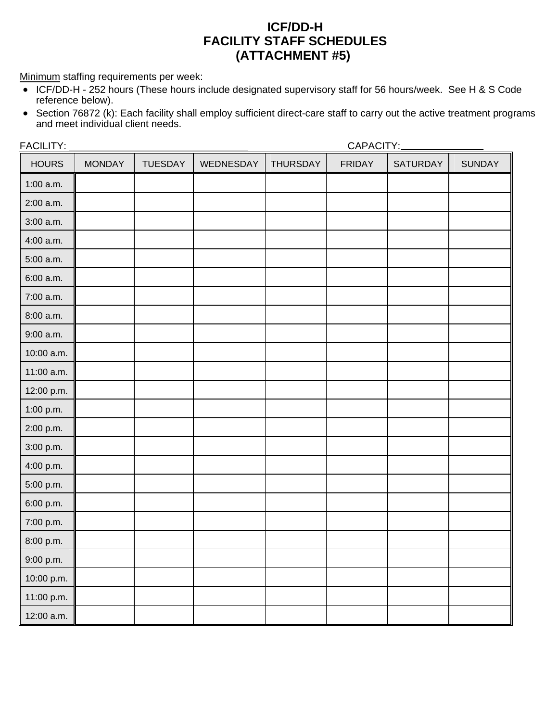## **ICF/DD-H FACILITY STAFF SCHEDULES (ATTACHMENT #5)**

Minimum staffing requirements per week:

- ICF/DD-H 252 hours (These hours include designated supervisory staff for 56 hours/week. See H & S Code reference below).
- Section 76872 (k): Each facility shall employ sufficient direct-care staff to carry out the active treatment programs and meet individual client needs.

| FACILITY:    |               |                |           | CAPACITY:       |               |                 |               |
|--------------|---------------|----------------|-----------|-----------------|---------------|-----------------|---------------|
| <b>HOURS</b> | <b>MONDAY</b> | <b>TUESDAY</b> | WEDNESDAY | <b>THURSDAY</b> | <b>FRIDAY</b> | <b>SATURDAY</b> | <b>SUNDAY</b> |
| $1:00$ a.m.  |               |                |           |                 |               |                 |               |
| 2:00 a.m.    |               |                |           |                 |               |                 |               |
| $3:00$ a.m.  |               |                |           |                 |               |                 |               |
| 4:00 a.m.    |               |                |           |                 |               |                 |               |
| 5:00 a.m.    |               |                |           |                 |               |                 |               |
| $6:00$ a.m.  |               |                |           |                 |               |                 |               |
| 7:00 a.m.    |               |                |           |                 |               |                 |               |
| 8:00 a.m.    |               |                |           |                 |               |                 |               |
| $9:00$ a.m.  |               |                |           |                 |               |                 |               |
| 10:00 a.m.   |               |                |           |                 |               |                 |               |
| 11:00 a.m.   |               |                |           |                 |               |                 |               |
| 12:00 p.m.   |               |                |           |                 |               |                 |               |
| 1:00 p.m.    |               |                |           |                 |               |                 |               |
| 2:00 p.m.    |               |                |           |                 |               |                 |               |
| 3:00 p.m.    |               |                |           |                 |               |                 |               |
| 4:00 p.m.    |               |                |           |                 |               |                 |               |
| 5:00 p.m.    |               |                |           |                 |               |                 |               |
| 6:00 p.m.    |               |                |           |                 |               |                 |               |
| 7:00 p.m.    |               |                |           |                 |               |                 |               |
| 8:00 p.m.    |               |                |           |                 |               |                 |               |
| 9:00 p.m.    |               |                |           |                 |               |                 |               |
| 10:00 p.m.   |               |                |           |                 |               |                 |               |
| 11:00 p.m.   |               |                |           |                 |               |                 |               |
| 12:00 a.m.   |               |                |           |                 |               |                 |               |